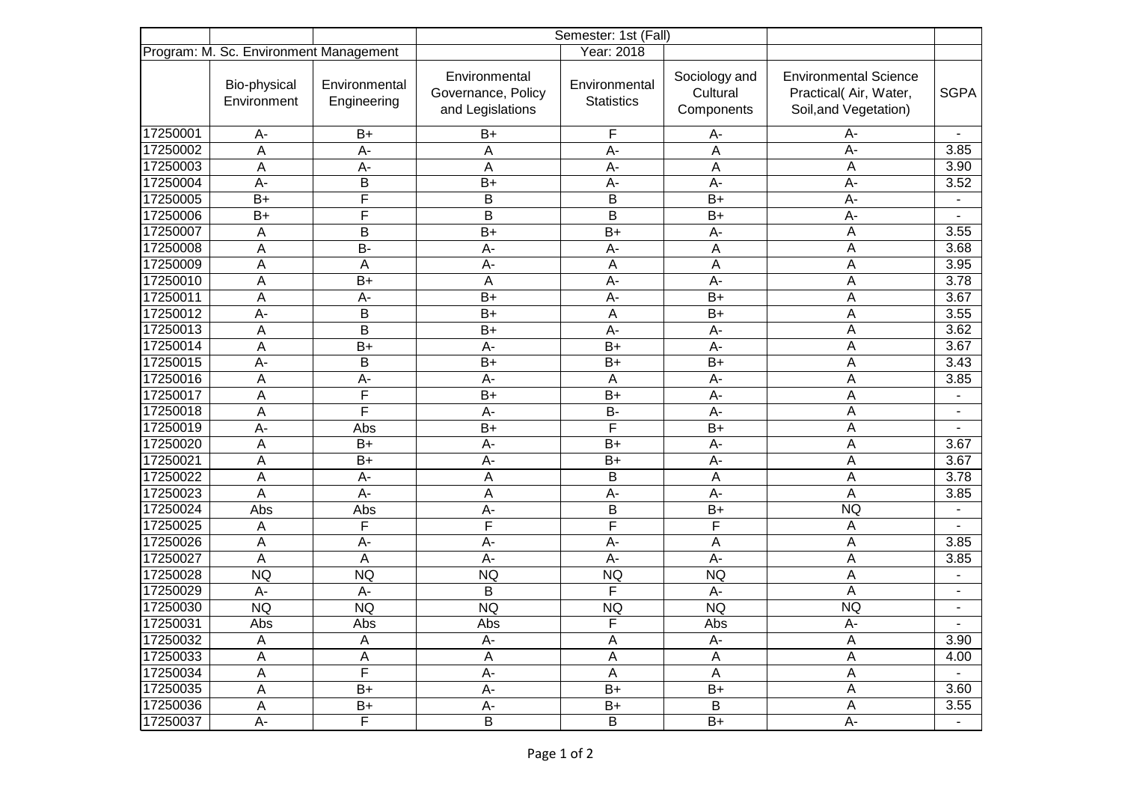|          | Program: M. Sc. Environment Management |                              | Year: 2018                                              |                                    |                                         |                                                                                |                          |
|----------|----------------------------------------|------------------------------|---------------------------------------------------------|------------------------------------|-----------------------------------------|--------------------------------------------------------------------------------|--------------------------|
|          | Bio-physical<br>Environment            | Environmental<br>Engineering | Environmental<br>Governance, Policy<br>and Legislations | Environmental<br><b>Statistics</b> | Sociology and<br>Cultural<br>Components | <b>Environmental Science</b><br>Practical(Air, Water,<br>Soil, and Vegetation) | <b>SGPA</b>              |
| 17250001 | А-                                     | $B+$                         | $B+$                                                    | F                                  | А-                                      | А-                                                                             |                          |
| 17250002 | A                                      | $A -$                        | A                                                       | A-                                 | A                                       | A-                                                                             | 3.85                     |
| 17250003 | A                                      | $A -$                        | A                                                       | A-                                 | A                                       | A                                                                              | 3.90                     |
| 17250004 | $A -$                                  | B                            | $B+$                                                    | $A -$                              | $A -$                                   | $A -$                                                                          | 3.52                     |
| 17250005 | $B+$                                   | $\overline{\mathsf{F}}$      | B                                                       | B                                  | $B+$                                    | $A -$                                                                          |                          |
| 17250006 | $B+$                                   | F                            | B                                                       | B                                  | $B+$                                    | $A -$                                                                          |                          |
| 17250007 | А                                      | B                            | $B+$                                                    | $B+$                               | A-                                      | A                                                                              | 3.55                     |
| 17250008 | А                                      | <b>B-</b>                    | $A -$                                                   | A-                                 | Α                                       | A                                                                              | 3.68                     |
| 17250009 | A                                      | A                            | $A -$                                                   | A                                  | A                                       | A                                                                              | 3.95                     |
| 17250010 | A                                      | $B+$                         | A                                                       | A-                                 | A-                                      | A                                                                              | 3.78                     |
| 17250011 | A                                      | A-                           | $B+$                                                    | A-                                 | $B+$                                    | A                                                                              | 3.67                     |
| 17250012 | A-                                     | B                            | $B+$                                                    | A                                  | $B+$                                    | A                                                                              | 3.55                     |
| 17250013 | A                                      | B                            | $B+$                                                    | A-                                 | A-                                      | A                                                                              | 3.62                     |
| 17250014 | A                                      | $B+$                         | $A -$                                                   | $B+$                               | A-                                      | A                                                                              | 3.67                     |
| 17250015 | A-                                     | B                            | $B+$                                                    | $B+$                               | $B+$                                    | A                                                                              | 3.43                     |
| 17250016 | A                                      | A-                           | $A -$                                                   | Α                                  | $A -$                                   | A                                                                              | 3.85                     |
| 17250017 | A                                      | F                            | $B+$                                                    | $B+$                               | $A -$                                   | A                                                                              |                          |
| 17250018 | A                                      | F                            | $A -$                                                   | <b>B-</b>                          | $A -$                                   | A                                                                              | $\overline{\phantom{a}}$ |
| 17250019 | А-                                     | Abs                          | $B+$                                                    | F                                  | $B+$                                    | A                                                                              |                          |
| 17250020 | А                                      | $B+$                         | A-                                                      | $B+$                               | $A -$                                   | A                                                                              | 3.67                     |
| 17250021 | A                                      | $B+$                         | $A -$                                                   | $B+$                               | A-                                      | A                                                                              | 3.67                     |
| 17250022 | A                                      | A-                           | A                                                       | B                                  | A                                       | A                                                                              | 3.78                     |
| 17250023 | A                                      | $A -$                        | A                                                       | A-                                 | A-                                      | A                                                                              | 3.85                     |
| 17250024 | Abs                                    | Abs                          | $A -$                                                   | B                                  | $B+$                                    | <b>NQ</b>                                                                      | $\blacksquare$           |
| 17250025 | A                                      | F                            | F                                                       | F                                  | F                                       | A                                                                              |                          |
| 17250026 | A                                      | A-                           | $A -$                                                   | A-                                 | A                                       | A                                                                              | 3.85                     |
| 17250027 | A                                      | A                            | $A -$                                                   | A-                                 | $A -$                                   | Α                                                                              | 3.85                     |
| 17250028 | <b>NQ</b>                              | <b>NQ</b>                    | <b>NQ</b>                                               | <b>NQ</b>                          | <b>NQ</b>                               | A                                                                              |                          |
| 17250029 | A-                                     | $A -$                        | B                                                       | F                                  | $A -$                                   | A                                                                              |                          |
| 17250030 | <b>NQ</b>                              | <b>NQ</b>                    | <b>NQ</b>                                               | <b>NQ</b>                          | <b>NQ</b>                               | <b>NQ</b>                                                                      |                          |
| 17250031 | Abs                                    | Abs                          | Abs                                                     | F                                  | Abs                                     | $A -$                                                                          |                          |
| 17250032 | A                                      | Α                            | A-                                                      | А                                  | A-                                      | A                                                                              | 3.90                     |
| 17250033 | A                                      | A                            | A                                                       | $\mathsf A$                        | A                                       | A                                                                              | 4.00                     |
| 17250034 | A                                      | $\overline{\mathsf{F}}$      | $A-$                                                    | $\mathsf A$                        | $\boldsymbol{\mathsf{A}}$               | $\mathsf A$                                                                    |                          |
| 17250035 | $\boldsymbol{\mathsf{A}}$              | $B+$                         | $A -$                                                   | $B+$                               | $B+$                                    | $\mathsf A$                                                                    | 3.60                     |
| 17250036 | A                                      | $B+$                         | $A-$                                                    | $B+$                               | B                                       | $\mathsf A$                                                                    | 3.55                     |
| 17250037 | А-                                     | $\overline{F}$               | $\sf B$                                                 | $\sf B$                            | $B+$                                    | $A -$                                                                          | $\blacksquare$           |